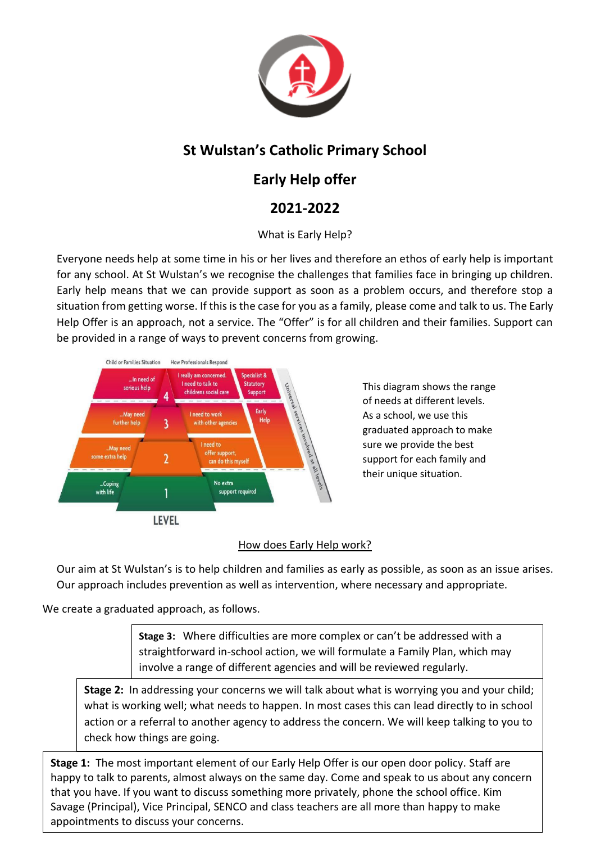

# **St Wulstan's Catholic Primary School**

## **Early Help offer**

## **2021-2022**

### What is Early Help?

Everyone needs help at some time in his or her lives and therefore an ethos of early help is important for any school. At St Wulstan's we recognise the challenges that families face in bringing up children. Early help means that we can provide support as soon as a problem occurs, and therefore stop a situation from getting worse. If this is the case for you as a family, please come and talk to us. The Early Help Offer is an approach, not a service. The "Offer" is for all children and their families. Support can be provided in a range of ways to prevent concerns from growing.



This diagram shows the range of needs at different levels. As a school, we use this graduated approach to make sure we provide the best support for each family and their unique situation.

### How does Early Help work?

Our aim at St Wulstan's is to help children and families as early as possible, as soon as an issue arises. Our approach includes prevention as well as intervention, where necessary and appropriate.

We create a graduated approach, as follows.

**Stage 3:** Where difficulties are more complex or can't be addressed with a straightforward in-school action, we will formulate a Family Plan, which may involve a range of different agencies and will be reviewed regularly.

**Stage 2:** In addressing your concerns we will talk about what is worrying you and your child; what is working well; what needs to happen. In most cases this can lead directly to in school action or a referral to another agency to address the concern. We will keep talking to you to check how things are going.

**Stage 1:** The most important element of our Early Help Offer is our open door policy. Staff are happy to talk to parents, almost always on the same day. Come and speak to us about any concern that you have. If you want to discuss something more privately, phone the school office. Kim Savage (Principal), Vice Principal, SENCO and class teachers are all more than happy to make appointments to discuss your concerns.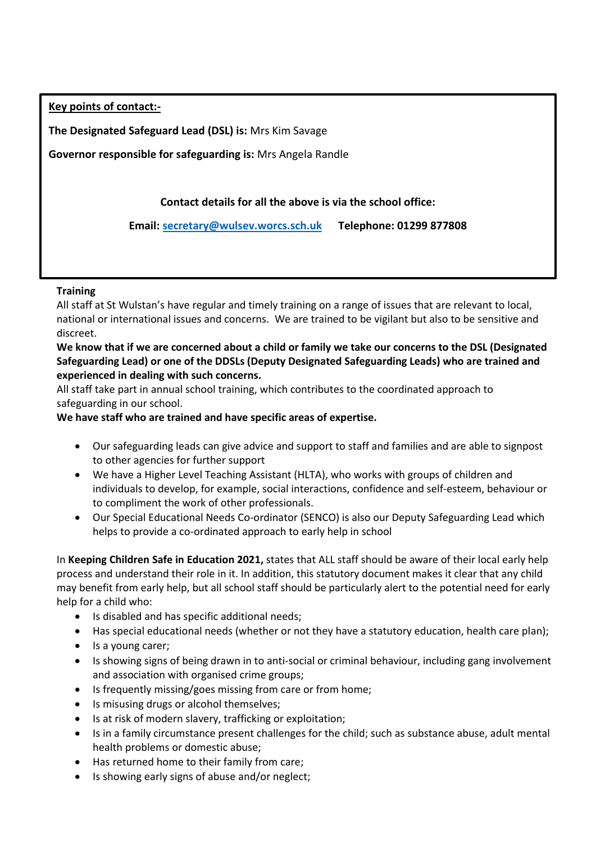**Key points of contact:-**

**The Designated Safeguard Lead (DSL) is:** Mrs Kim Savage

**Governor responsible for safeguarding is:** Mrs Angela Randle

**Contact details for all the above is via the school office:**

**Email: [secretary@wulsev.worcs.sch.uk](mailto:secretary@wulsev.worcs.sch.uk) Telephone: 01299 877808**

#### **Training**

All staff at St Wulstan's have regular and timely training on a range of issues that are relevant to local, national or international issues and concerns. We are trained to be vigilant but also to be sensitive and discreet.

**We know that if we are concerned about a child or family we take our concerns to the DSL (Designated Safeguarding Lead) or one of the DDSLs (Deputy Designated Safeguarding Leads) who are trained and experienced in dealing with such concerns.** 

All staff take part in annual school training, which contributes to the coordinated approach to safeguarding in our school.

#### **We have staff who are trained and have specific areas of expertise.**

- Our safeguarding leads can give advice and support to staff and families and are able to signpost to other agencies for further support
- We have a Higher Level Teaching Assistant (HLTA), who works with groups of children and individuals to develop, for example, social interactions, confidence and self-esteem, behaviour or to compliment the work of other professionals.
- Our Special Educational Needs Co-ordinator (SENCO) is also our Deputy Safeguarding Lead which helps to provide a co-ordinated approach to early help in school

In **Keeping Children Safe in Education 2021,** states that ALL staff should be aware of their local early help process and understand their role in it. In addition, this statutory document makes it clear that any child may benefit from early help, but all school staff should be particularly alert to the potential need for early help for a child who:

- Is disabled and has specific additional needs;
- Has special educational needs (whether or not they have a statutory education, health care plan);
- Is a young carer;
- Is showing signs of being drawn in to anti-social or criminal behaviour, including gang involvement and association with organised crime groups;
- Is frequently missing/goes missing from care or from home;
- Is misusing drugs or alcohol themselves;
- Is at risk of modern slavery, trafficking or exploitation;
- Is in a family circumstance present challenges for the child; such as substance abuse, adult mental health problems or domestic abuse;
- Has returned home to their family from care;
- Is showing early signs of abuse and/or neglect;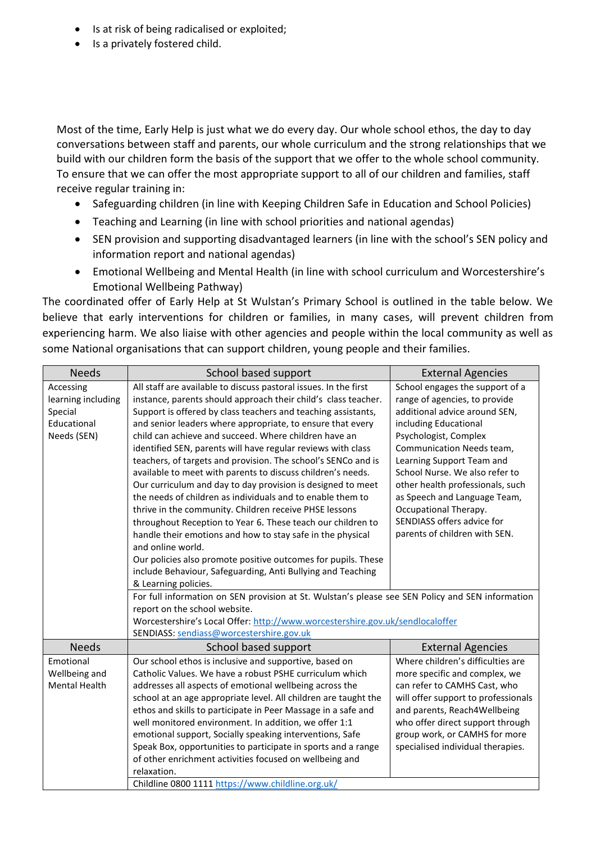- Is at risk of being radicalised or exploited;
- Is a privately fostered child.

Most of the time, Early Help is just what we do every day. Our whole school ethos, the day to day conversations between staff and parents, our whole curriculum and the strong relationships that we build with our children form the basis of the support that we offer to the whole school community. To ensure that we can offer the most appropriate support to all of our children and families, staff receive regular training in:

- Safeguarding children (in line with Keeping Children Safe in Education and School Policies)
- Teaching and Learning (in line with school priorities and national agendas)
- SEN provision and supporting disadvantaged learners (in line with the school's SEN policy and information report and national agendas)
- Emotional Wellbeing and Mental Health (in line with school curriculum and Worcestershire's Emotional Wellbeing Pathway)

The coordinated offer of Early Help at St Wulstan's Primary School is outlined in the table below. We believe that early interventions for children or families, in many cases, will prevent children from experiencing harm. We also liaise with other agencies and people within the local community as well as some National organisations that can support children, young people and their families.

| <b>Needs</b>         | School based support                                                                             | <b>External Agencies</b>            |  |
|----------------------|--------------------------------------------------------------------------------------------------|-------------------------------------|--|
| Accessing            | All staff are available to discuss pastoral issues. In the first                                 | School engages the support of a     |  |
| learning including   | instance, parents should approach their child's class teacher.                                   | range of agencies, to provide       |  |
| Special              | Support is offered by class teachers and teaching assistants,                                    | additional advice around SEN,       |  |
| Educational          | and senior leaders where appropriate, to ensure that every                                       | including Educational               |  |
| Needs (SEN)          | child can achieve and succeed. Where children have an                                            | Psychologist, Complex               |  |
|                      | identified SEN, parents will have regular reviews with class                                     | Communication Needs team,           |  |
|                      | teachers, of targets and provision. The school's SENCo and is                                    | Learning Support Team and           |  |
|                      | available to meet with parents to discuss children's needs.                                      | School Nurse. We also refer to      |  |
|                      | Our curriculum and day to day provision is designed to meet                                      | other health professionals, such    |  |
|                      | the needs of children as individuals and to enable them to                                       | as Speech and Language Team,        |  |
|                      | thrive in the community. Children receive PHSE lessons                                           | Occupational Therapy.               |  |
|                      | throughout Reception to Year 6. These teach our children to                                      | SENDIASS offers advice for          |  |
|                      | handle their emotions and how to stay safe in the physical                                       | parents of children with SEN.       |  |
|                      | and online world.                                                                                |                                     |  |
|                      | Our policies also promote positive outcomes for pupils. These                                    |                                     |  |
|                      | include Behaviour, Safeguarding, Anti Bullying and Teaching                                      |                                     |  |
|                      | & Learning policies.                                                                             |                                     |  |
|                      | For full information on SEN provision at St. Wulstan's please see SEN Policy and SEN information |                                     |  |
|                      | report on the school website.                                                                    |                                     |  |
|                      | Worcestershire's Local Offer: http://www.worcestershire.gov.uk/sendlocaloffer                    |                                     |  |
|                      | SENDIASS: sendiass@worcestershire.gov.uk                                                         |                                     |  |
| <b>Needs</b>         | School based support                                                                             | <b>External Agencies</b>            |  |
| Emotional            | Our school ethos is inclusive and supportive, based on                                           | Where children's difficulties are   |  |
| Wellbeing and        | Catholic Values. We have a robust PSHE curriculum which                                          | more specific and complex, we       |  |
| <b>Mental Health</b> | addresses all aspects of emotional wellbeing across the                                          | can refer to CAMHS Cast, who        |  |
|                      | school at an age appropriate level. All children are taught the                                  | will offer support to professionals |  |
|                      | ethos and skills to participate in Peer Massage in a safe and                                    | and parents, Reach4Wellbeing        |  |
|                      | well monitored environment. In addition, we offer 1:1                                            | who offer direct support through    |  |
|                      | emotional support, Socially speaking interventions, Safe                                         | group work, or CAMHS for more       |  |
|                      | Speak Box, opportunities to participate in sports and a range                                    | specialised individual therapies.   |  |
|                      | of other enrichment activities focused on wellbeing and                                          |                                     |  |
|                      | relaxation.                                                                                      |                                     |  |
|                      | Childline 0800 1111 https://www.childline.org.uk/                                                |                                     |  |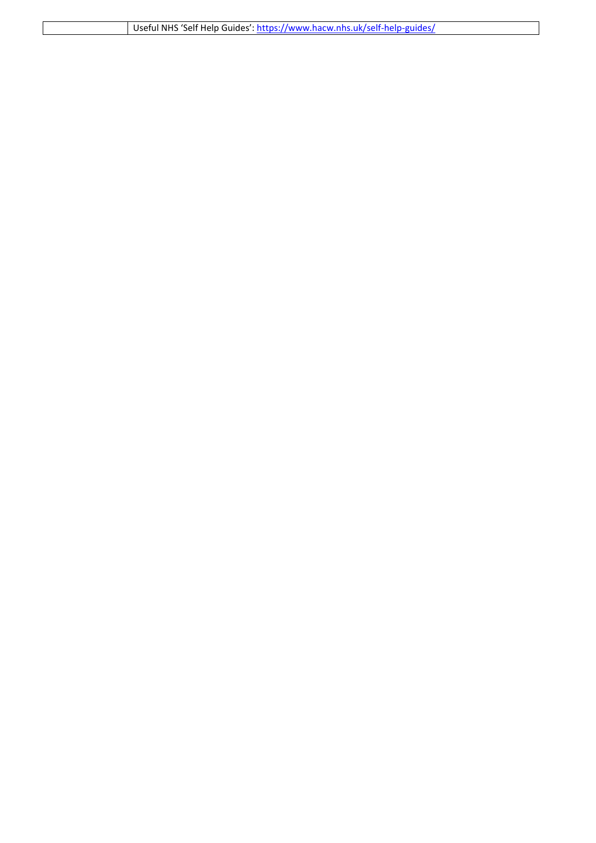| Useful NHS 'Self Help Guides': https://www.hacw.nhs.uk/self-help-guides/ |
|--------------------------------------------------------------------------|
|                                                                          |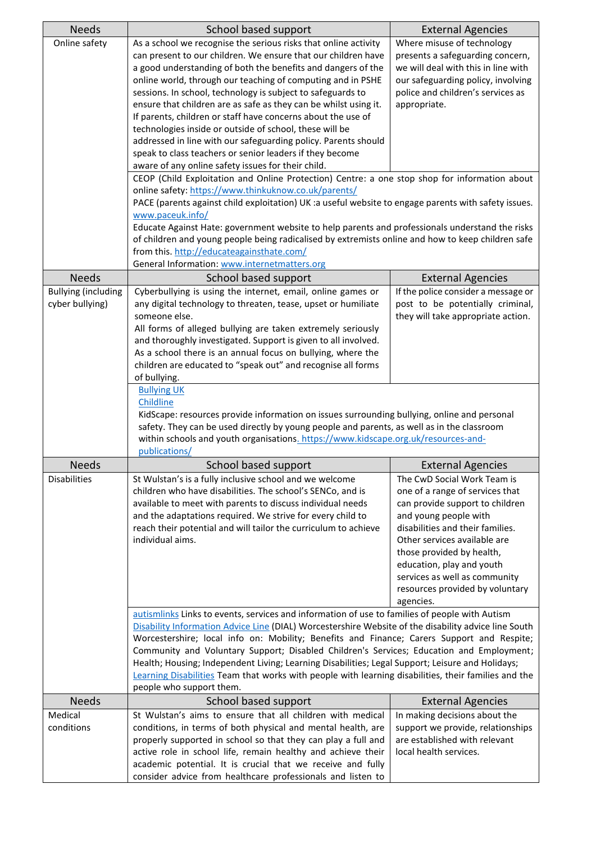| <b>Needs</b>               | School based support                                                                                                                                  | <b>External Agencies</b>                                         |  |
|----------------------------|-------------------------------------------------------------------------------------------------------------------------------------------------------|------------------------------------------------------------------|--|
| Online safety              | As a school we recognise the serious risks that online activity                                                                                       | Where misuse of technology                                       |  |
|                            | can present to our children. We ensure that our children have                                                                                         | presents a safeguarding concern,                                 |  |
|                            | a good understanding of both the benefits and dangers of the                                                                                          | we will deal with this in line with                              |  |
|                            | online world, through our teaching of computing and in PSHE                                                                                           | our safeguarding policy, involving                               |  |
|                            | sessions. In school, technology is subject to safeguards to                                                                                           | police and children's services as                                |  |
|                            | ensure that children are as safe as they can be whilst using it.                                                                                      | appropriate.                                                     |  |
|                            | If parents, children or staff have concerns about the use of                                                                                          |                                                                  |  |
|                            | technologies inside or outside of school, these will be                                                                                               |                                                                  |  |
|                            | addressed in line with our safeguarding policy. Parents should                                                                                        |                                                                  |  |
|                            | speak to class teachers or senior leaders if they become<br>aware of any online safety issues for their child.                                        |                                                                  |  |
|                            |                                                                                                                                                       |                                                                  |  |
|                            | CEOP (Child Exploitation and Online Protection) Centre: a one stop shop for information about<br>online safety: https://www.thinkuknow.co.uk/parents/ |                                                                  |  |
|                            | PACE (parents against child exploitation) UK :a useful website to engage parents with safety issues.                                                  |                                                                  |  |
|                            | www.paceuk.info/                                                                                                                                      |                                                                  |  |
|                            | Educate Against Hate: government website to help parents and professionals understand the risks                                                       |                                                                  |  |
|                            | of children and young people being radicalised by extremists online and how to keep children safe                                                     |                                                                  |  |
|                            | from this. http://educateagainsthate.com/                                                                                                             |                                                                  |  |
|                            | General Information: www.internetmatters.org                                                                                                          |                                                                  |  |
| <b>Needs</b>               | School based support                                                                                                                                  | <b>External Agencies</b>                                         |  |
| <b>Bullying (including</b> | Cyberbullying is using the internet, email, online games or                                                                                           | If the police consider a message or                              |  |
| cyber bullying)            | any digital technology to threaten, tease, upset or humiliate                                                                                         | post to be potentially criminal,                                 |  |
|                            | someone else.                                                                                                                                         | they will take appropriate action.                               |  |
|                            | All forms of alleged bullying are taken extremely seriously                                                                                           |                                                                  |  |
|                            | and thoroughly investigated. Support is given to all involved.                                                                                        |                                                                  |  |
|                            | As a school there is an annual focus on bullying, where the                                                                                           |                                                                  |  |
|                            | children are educated to "speak out" and recognise all forms                                                                                          |                                                                  |  |
|                            | of bullying.                                                                                                                                          |                                                                  |  |
|                            | <b>Bullying UK</b>                                                                                                                                    |                                                                  |  |
|                            |                                                                                                                                                       |                                                                  |  |
|                            | Childline                                                                                                                                             |                                                                  |  |
|                            | KidScape: resources provide information on issues surrounding bullying, online and personal                                                           |                                                                  |  |
|                            | safety. They can be used directly by young people and parents, as well as in the classroom                                                            |                                                                  |  |
|                            | within schools and youth organisations. https://www.kidscape.org.uk/resources-and-                                                                    |                                                                  |  |
|                            | publications/                                                                                                                                         |                                                                  |  |
| <b>Needs</b>               | School based support                                                                                                                                  | <b>External Agencies</b>                                         |  |
| <b>Disabilities</b>        | St Wulstan's is a fully inclusive school and we welcome                                                                                               | The CwD Social Work Team is                                      |  |
|                            | children who have disabilities. The school's SENCo, and is                                                                                            | one of a range of services that                                  |  |
|                            | available to meet with parents to discuss individual needs                                                                                            | can provide support to children                                  |  |
|                            | and the adaptations required. We strive for every child to                                                                                            | and young people with                                            |  |
|                            | reach their potential and will tailor the curriculum to achieve<br>individual aims.                                                                   | disabilities and their families.<br>Other services available are |  |
|                            |                                                                                                                                                       | those provided by health,                                        |  |
|                            |                                                                                                                                                       | education, play and youth                                        |  |
|                            |                                                                                                                                                       | services as well as community                                    |  |
|                            |                                                                                                                                                       | resources provided by voluntary                                  |  |
|                            |                                                                                                                                                       | agencies.                                                        |  |
|                            | autismlinks Links to events, services and information of use to families of people with Autism                                                        |                                                                  |  |
|                            | Disability Information Advice Line (DIAL) Worcestershire Website of the disability advice line South                                                  |                                                                  |  |
|                            | Worcestershire; local info on: Mobility; Benefits and Finance; Carers Support and Respite;                                                            |                                                                  |  |
|                            | Community and Voluntary Support; Disabled Children's Services; Education and Employment;                                                              |                                                                  |  |
|                            | Health; Housing; Independent Living; Learning Disabilities; Legal Support; Leisure and Holidays;                                                      |                                                                  |  |
|                            | Learning Disabilities Team that works with people with learning disabilities, their families and the                                                  |                                                                  |  |
|                            | people who support them.                                                                                                                              |                                                                  |  |
| <b>Needs</b>               | School based support                                                                                                                                  | <b>External Agencies</b>                                         |  |
| Medical                    | St Wulstan's aims to ensure that all children with medical                                                                                            | In making decisions about the                                    |  |
| conditions                 | conditions, in terms of both physical and mental health, are                                                                                          | support we provide, relationships                                |  |
|                            | properly supported in school so that they can play a full and                                                                                         | are established with relevant                                    |  |
|                            | active role in school life, remain healthy and achieve their<br>academic potential. It is crucial that we receive and fully                           | local health services.                                           |  |